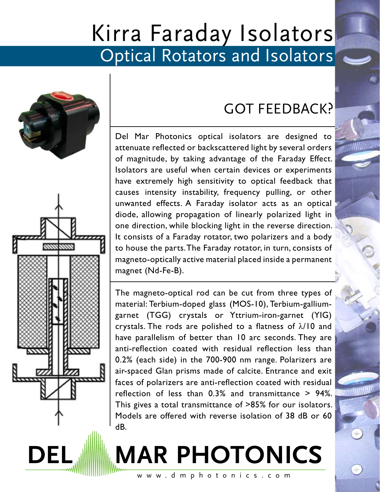# Kirra Faraday Isolators Optical Rotators and Isolators



## GOT FEEDBACK?

Del Mar Photonics optical isolators are designed to attenuate reflected or backscattered light by several orders of magnitude, by taking advantage of the Faraday Effect. Isolators are useful when certain devices or experiments have extremely high sensitivity to optical feedback that causes intensity instability, frequency pulling, or other unwanted effects. A Faraday isolator acts as an optical diode, allowing propagation of linearly polarized light in one direction, while blocking light in the reverse direction. It consists of a Faraday rotator, two polarizers and a body to house the parts. The Faraday rotator, in turn, consists of magneto-optically active material placed inside a permanent magnet (Nd-Fe-B).

The magneto-optical rod can be cut from three types of material: Terbium-doped glass (MOS-10), Terbium-galliumgarnet (TGG) crystals or Yttrium-iron-garnet (YIG) crystals. The rods are polished to a flatness of  $\lambda/10$  and have parallelism of better than 10 arc seconds. They are anti-reflection coated with residual reflection less than 0.2% (each side) in the 700-900 nm range. Polarizers are air-spaced Glan prisms made of calcite. Entrance and exit faces of polarizers are anti-reflection coated with residual reflection of less than 0.3% and transmittance > 94%. This gives a total transmittance of >85% for our isolators. Models are offered with reverse isolation of 38 dB or 60 dB.